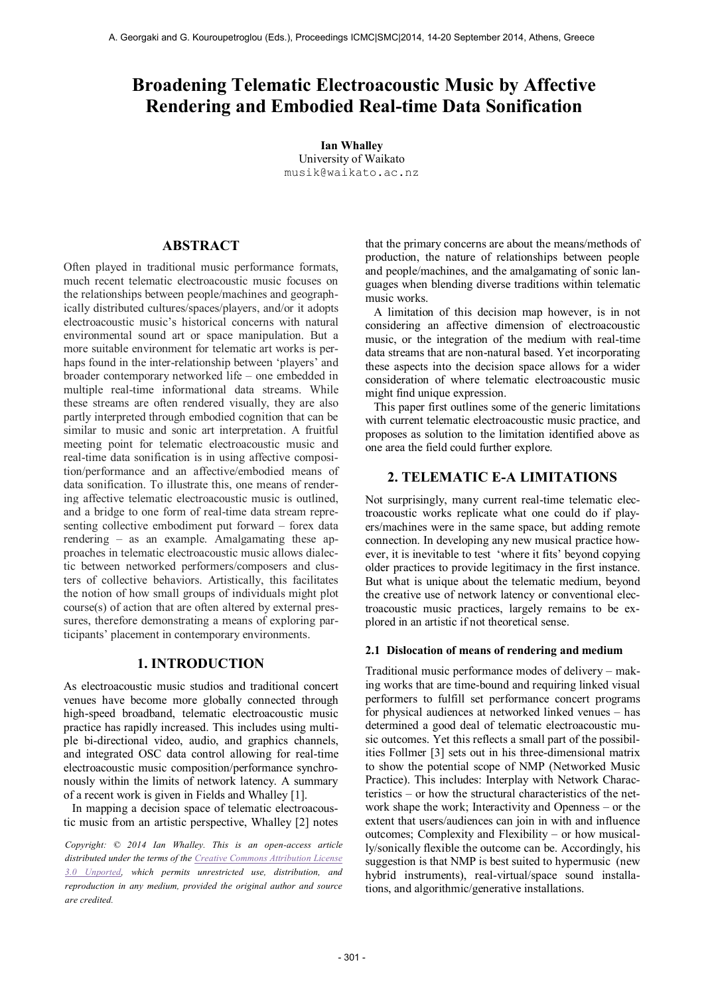# **Broadening Telematic Electroacoustic Music by Affective Rendering and Embodied Real-time Data Sonification**

**Ian Whalley** University of Waikato [musik@waikato.ac.nz](mailto:author1@smcnetwork.org?subject=SMC%202010%20paper)

# **ABSTRACT**

Often played in traditional music performance formats, much recent telematic electroacoustic music focuses on the relationships between people/machines and geographically distributed cultures/spaces/players, and/or it adopts electroacoustic music's historical concerns with natural environmental sound art or space manipulation. But a more suitable environment for telematic art works is perhaps found in the inter-relationship between 'players' and broader contemporary networked life – one embedded in multiple real-time informational data streams. While these streams are often rendered visually, they are also partly interpreted through embodied cognition that can be similar to music and sonic art interpretation. A fruitful meeting point for telematic electroacoustic music and real-time data sonification is in using affective composition/performance and an affective/embodied means of data sonification. To illustrate this, one means of rendering affective telematic electroacoustic music is outlined, and a bridge to one form of real-time data stream representing collective embodiment put forward – forex data rendering – as an example. Amalgamating these approaches in telematic electroacoustic music allows dialectic between networked performers/composers and clusters of collective behaviors. Artistically, this facilitates the notion of how small groups of individuals might plot course(s) of action that are often altered by external pressures, therefore demonstrating a means of exploring participants' placement in contemporary environments.

# **1. INTRODUCTION**

As electroacoustic music studios and traditional concert venues have become more globally connected through high-speed broadband, telematic electroacoustic music practice has rapidly increased. This includes using multiple bi-directional video, audio, and graphics channels, and integrated OSC data control allowing for real-time electroacoustic music composition/performance synchronously within the limits of network latency. A summary of a recent work is given in Fields and Whalley [1].

In mapping a decision space of telematic electroacoustic music from an artistic perspective, Whalley [2] notes

*Copyright: © 2014 Ian Whalley. This is an open-access article distributed under the terms of th[e Creative Commons Attribution License](http://creativecommons.org/licenses/by/3.0/)  [3.0 Unported,](http://creativecommons.org/licenses/by/3.0/) which permits unrestricted use, distribution, and reproduction in any medium, provided the original author and source are credited.*

that the primary concerns are about the means/methods of production, the nature of relationships between people and people/machines, and the amalgamating of sonic languages when blending diverse traditions within telematic music works.

A limitation of this decision map however, is in not considering an affective dimension of electroacoustic music, or the integration of the medium with real-time data streams that are non-natural based. Yet incorporating these aspects into the decision space allows for a wider consideration of where telematic electroacoustic music might find unique expression.

This paper first outlines some of the generic limitations with current telematic electroacoustic music practice, and proposes as solution to the limitation identified above as one area the field could further explore.

# **2. TELEMATIC E-A LIMITATIONS**

Not surprisingly, many current real-time telematic electroacoustic works replicate what one could do if players/machines were in the same space, but adding remote connection. In developing any new musical practice however, it is inevitable to test 'where it fits' beyond copying older practices to provide legitimacy in the first instance. But what is unique about the telematic medium, beyond the creative use of network latency or conventional electroacoustic music practices, largely remains to be explored in an artistic if not theoretical sense.

#### **2.1 Dislocation of means of rendering and medium**

Traditional music performance modes of delivery – making works that are time-bound and requiring linked visual performers to fulfill set performance concert programs for physical audiences at networked linked venues – has determined a good deal of telematic electroacoustic music outcomes. Yet this reflects a small part of the possibilities Follmer [3] sets out in his three-dimensional matrix to show the potential scope of NMP (Networked Music Practice). This includes: Interplay with Network Characteristics – or how the structural characteristics of the network shape the work; Interactivity and Openness – or the extent that users/audiences can join in with and influence outcomes; Complexity and Flexibility – or how musically/sonically flexible the outcome can be. Accordingly, his suggestion is that NMP is best suited to hypermusic (new hybrid instruments), real-virtual/space sound installations, and algorithmic/generative installations.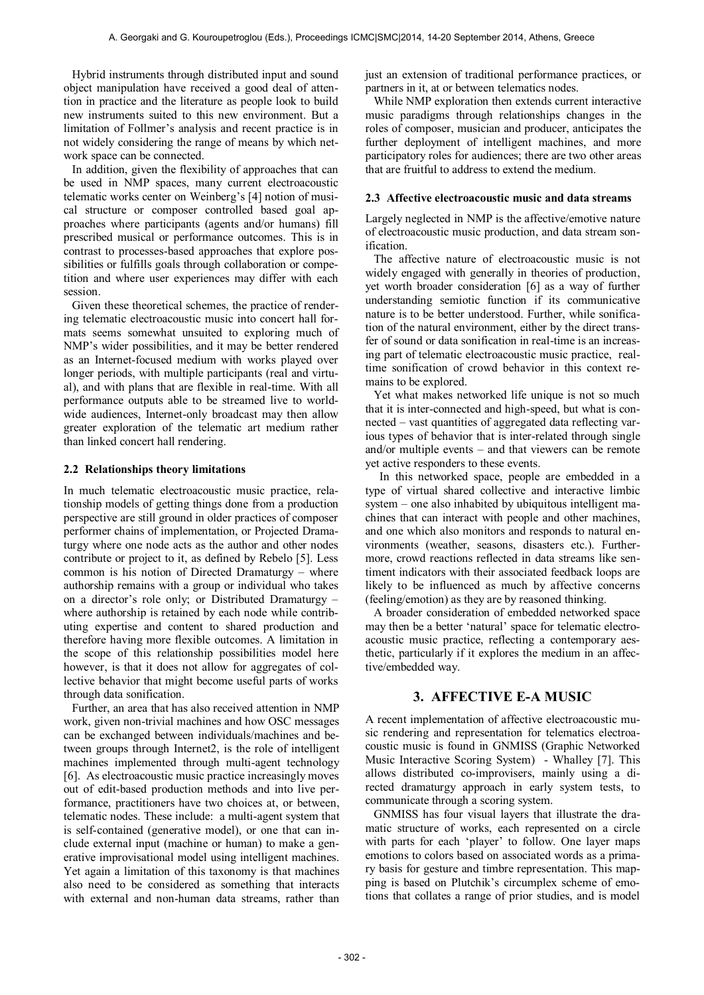Hybrid instruments through distributed input and sound object manipulation have received a good deal of attention in practice and the literature as people look to build new instruments suited to this new environment. But a limitation of Follmer's analysis and recent practice is in not widely considering the range of means by which network space can be connected.

In addition, given the flexibility of approaches that can be used in NMP spaces, many current electroacoustic telematic works center on Weinberg's [4] notion of musical structure or composer controlled based goal approaches where participants (agents and/or humans) fill prescribed musical or performance outcomes. This is in contrast to processes-based approaches that explore possibilities or fulfills goals through collaboration or competition and where user experiences may differ with each session.

Given these theoretical schemes, the practice of rendering telematic electroacoustic music into concert hall formats seems somewhat unsuited to exploring much of NMP's wider possibilities, and it may be better rendered as an Internet-focused medium with works played over longer periods, with multiple participants (real and virtual), and with plans that are flexible in real-time. With all performance outputs able to be streamed live to worldwide audiences, Internet-only broadcast may then allow greater exploration of the telematic art medium rather than linked concert hall rendering.

## **2.2 Relationships theory limitations**

In much telematic electroacoustic music practice, relationship models of getting things done from a production perspective are still ground in older practices of composer performer chains of implementation, or Projected Dramaturgy where one node acts as the author and other nodes contribute or project to it, as defined by Rebelo [5]. Less common is his notion of Directed Dramaturgy – where authorship remains with a group or individual who takes on a director's role only; or Distributed Dramaturgy – where authorship is retained by each node while contributing expertise and content to shared production and therefore having more flexible outcomes. A limitation in the scope of this relationship possibilities model here however, is that it does not allow for aggregates of collective behavior that might become useful parts of works through data sonification.

Further, an area that has also received attention in NMP work, given non-trivial machines and how OSC messages can be exchanged between individuals/machines and between groups through Internet2, is the role of intelligent machines implemented through multi-agent technology [6]. As electroacoustic music practice increasingly moves out of edit-based production methods and into live performance, practitioners have two choices at, or between, telematic nodes. These include: a multi-agent system that is self-contained (generative model), or one that can include external input (machine or human) to make a generative improvisational model using intelligent machines. Yet again a limitation of this taxonomy is that machines also need to be considered as something that interacts with external and non-human data streams, rather than just an extension of traditional performance practices, or partners in it, at or between telematics nodes.

While NMP exploration then extends current interactive music paradigms through relationships changes in the roles of composer, musician and producer, anticipates the further deployment of intelligent machines, and more participatory roles for audiences; there are two other areas that are fruitful to address to extend the medium.

## **2.3 Affective electroacoustic music and data streams**

Largely neglected in NMP is the affective/emotive nature of electroacoustic music production, and data stream sonification.

The affective nature of electroacoustic music is not widely engaged with generally in theories of production, yet worth broader consideration [6] as a way of further understanding semiotic function if its communicative nature is to be better understood. Further, while sonification of the natural environment, either by the direct transfer of sound or data sonification in real-time is an increasing part of telematic electroacoustic music practice, realtime sonification of crowd behavior in this context remains to be explored.

Yet what makes networked life unique is not so much that it is inter-connected and high-speed, but what is connected – vast quantities of aggregated data reflecting various types of behavior that is inter-related through single and/or multiple events – and that viewers can be remote yet active responders to these events.

 In this networked space, people are embedded in a type of virtual shared collective and interactive limbic system – one also inhabited by ubiquitous intelligent machines that can interact with people and other machines, and one which also monitors and responds to natural environments (weather, seasons, disasters etc.). Furthermore, crowd reactions reflected in data streams like sentiment indicators with their associated feedback loops are likely to be influenced as much by affective concerns (feeling/emotion) as they are by reasoned thinking.

A broader consideration of embedded networked space may then be a better 'natural' space for telematic electroacoustic music practice, reflecting a contemporary aesthetic, particularly if it explores the medium in an affective/embedded way.

# **3. AFFECTIVE E-A MUSIC**

A recent implementation of affective electroacoustic music rendering and representation for telematics electroacoustic music is found in GNMISS (Graphic Networked Music Interactive Scoring System) - Whalley [7]. This allows distributed co-improvisers, mainly using a directed dramaturgy approach in early system tests, to communicate through a scoring system.

GNMISS has four visual layers that illustrate the dramatic structure of works, each represented on a circle with parts for each 'player' to follow. One layer maps emotions to colors based on associated words as a primary basis for gesture and timbre representation. This mapping is based on Plutchik's circumplex scheme of emotions that collates a range of prior studies, and is model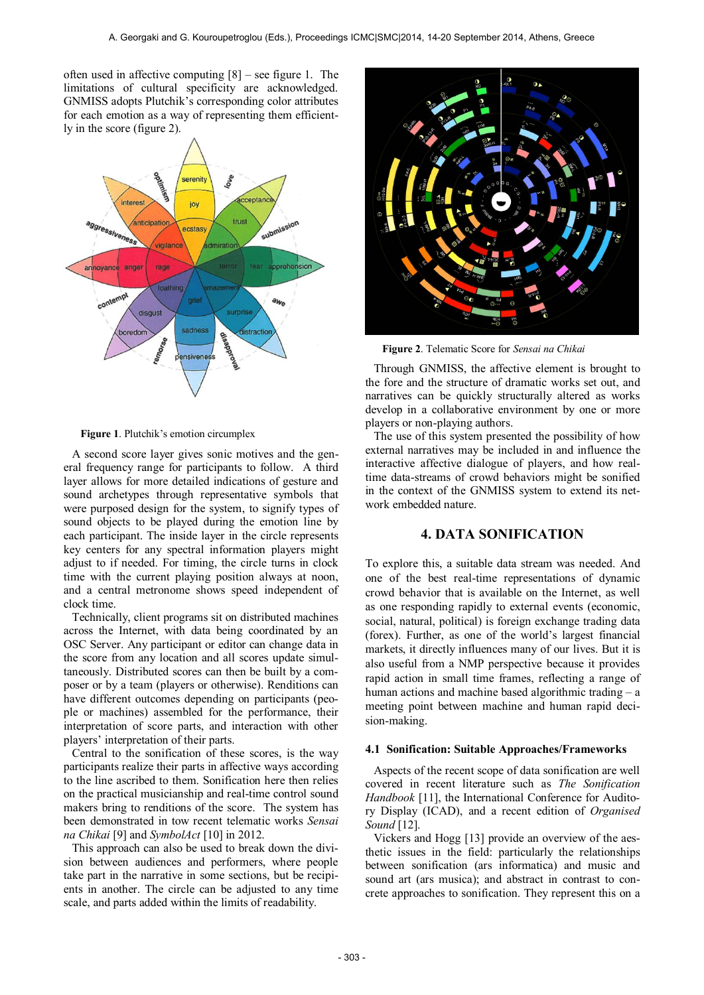often used in affective computing [8] – see figure 1. The limitations of cultural specificity are acknowledged. GNMISS adopts Plutchik's corresponding color attributes for each emotion as a way of representing them efficiently in the score (figure 2).



**Figure 1**. Plutchik's emotion circumplex

A second score layer gives sonic motives and the general frequency range for participants to follow. A third layer allows for more detailed indications of gesture and sound archetypes through representative symbols that were purposed design for the system, to signify types of sound objects to be played during the emotion line by each participant. The inside layer in the circle represents key centers for any spectral information players might adjust to if needed. For timing, the circle turns in clock time with the current playing position always at noon, and a central metronome shows speed independent of clock time.

Technically, client programs sit on distributed machines across the Internet, with data being coordinated by an OSC Server. Any participant or editor can change data in the score from any location and all scores update simultaneously. Distributed scores can then be built by a composer or by a team (players or otherwise). Renditions can have different outcomes depending on participants (people or machines) assembled for the performance, their interpretation of score parts, and interaction with other players' interpretation of their parts.

Central to the sonification of these scores, is the way participants realize their parts in affective ways according to the line ascribed to them. Sonification here then relies on the practical musicianship and real-time control sound makers bring to renditions of the score. The system has been demonstrated in tow recent telematic works *Sensai na Chikai* [9] and *SymbolAct* [10] in 2012.

This approach can also be used to break down the division between audiences and performers, where people take part in the narrative in some sections, but be recipients in another. The circle can be adjusted to any time scale, and parts added within the limits of readability.



**Figure 2**. Telematic Score for *Sensai na Chikai*

Through GNMISS, the affective element is brought to the fore and the structure of dramatic works set out, and narratives can be quickly structurally altered as works develop in a collaborative environment by one or more players or non-playing authors.

The use of this system presented the possibility of how external narratives may be included in and influence the interactive affective dialogue of players, and how realtime data-streams of crowd behaviors might be sonified in the context of the GNMISS system to extend its network embedded nature.

# **4. DATA SONIFICATION**

To explore this, a suitable data stream was needed. And one of the best real-time representations of dynamic crowd behavior that is available on the Internet, as well as one responding rapidly to external events (economic, social, natural, political) is foreign exchange trading data (forex). Further, as one of the world's largest financial markets, it directly influences many of our lives. But it is also useful from a NMP perspective because it provides rapid action in small time frames, reflecting a range of human actions and machine based algorithmic trading – a meeting point between machine and human rapid decision-making.

## **4.1 Sonification: Suitable Approaches/Frameworks**

Aspects of the recent scope of data sonification are well covered in recent literature such as *The Sonification Handbook* [11], the International Conference for Auditory Display (ICAD), and a recent edition of *Organised Sound* [12].

Vickers and Hogg [13] provide an overview of the aesthetic issues in the field: particularly the relationships between sonification (ars informatica) and music and sound art (ars musica); and abstract in contrast to concrete approaches to sonification. They represent this on a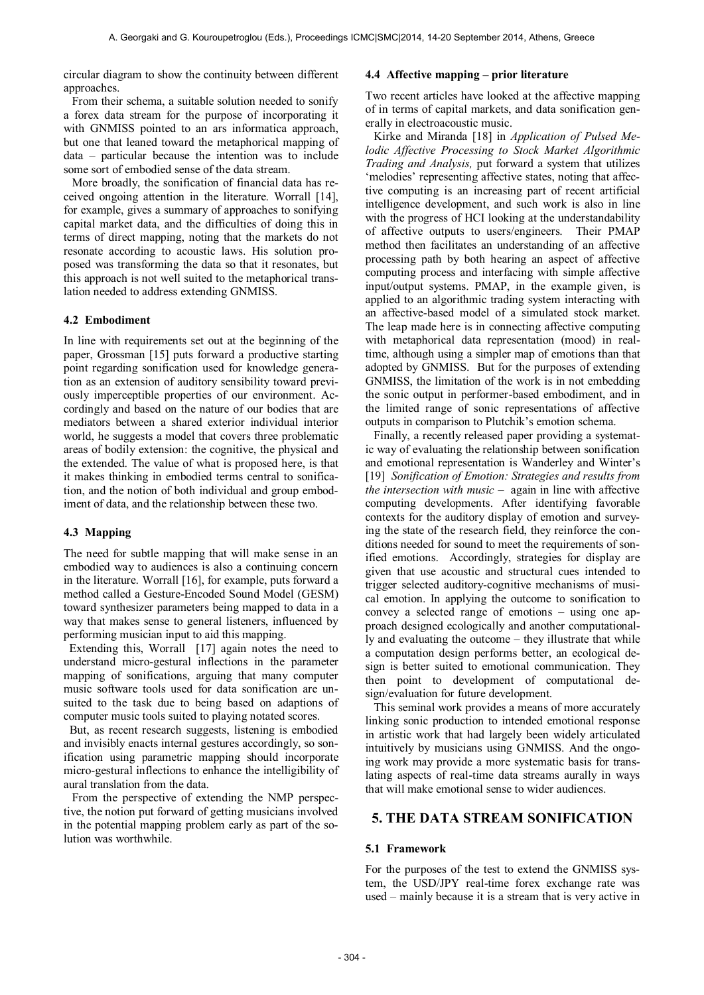circular diagram to show the continuity between different approaches.

From their schema, a suitable solution needed to sonify a forex data stream for the purpose of incorporating it with GNMISS pointed to an ars informatica approach, but one that leaned toward the metaphorical mapping of data – particular because the intention was to include some sort of embodied sense of the data stream.

More broadly, the sonification of financial data has received ongoing attention in the literature. Worrall [14], for example, gives a summary of approaches to sonifying capital market data, and the difficulties of doing this in terms of direct mapping, noting that the markets do not resonate according to acoustic laws. His solution proposed was transforming the data so that it resonates, but this approach is not well suited to the metaphorical translation needed to address extending GNMISS.

#### **4.2 Embodiment**

In line with requirements set out at the beginning of the paper, Grossman [15] puts forward a productive starting point regarding sonification used for knowledge generation as an extension of auditory sensibility toward previously imperceptible properties of our environment. Accordingly and based on the nature of our bodies that are mediators between a shared exterior individual interior world, he suggests a model that covers three problematic areas of bodily extension: the cognitive, the physical and the extended. The value of what is proposed here, is that it makes thinking in embodied terms central to sonification, and the notion of both individual and group embodiment of data, and the relationship between these two.

#### **4.3 Mapping**

The need for subtle mapping that will make sense in an embodied way to audiences is also a continuing concern in the literature. Worrall [16], for example, puts forward a method called a Gesture-Encoded Sound Model (GESM) toward synthesizer parameters being mapped to data in a way that makes sense to general listeners, influenced by performing musician input to aid this mapping.

Extending this, Worrall [17] again notes the need to understand micro-gestural inflections in the parameter mapping of sonifications, arguing that many computer music software tools used for data sonification are unsuited to the task due to being based on adaptions of computer music tools suited to playing notated scores.

 But, as recent research suggests, listening is embodied and invisibly enacts internal gestures accordingly, so sonification using parametric mapping should incorporate micro-gestural inflections to enhance the intelligibility of aural translation from the data.

From the perspective of extending the NMP perspective, the notion put forward of getting musicians involved in the potential mapping problem early as part of the solution was worthwhile.

# **4.4 Affective mapping – prior literature**

Two recent articles have looked at the affective mapping of in terms of capital markets, and data sonification generally in electroacoustic music.

Kirke and Miranda [18] in *Application of Pulsed Melodic Affective Processing to Stock Market Algorithmic Trading and Analysis,* put forward a system that utilizes 'melodies' representing affective states, noting that affective computing is an increasing part of recent artificial intelligence development, and such work is also in line with the progress of HCI looking at the understandability of affective outputs to users/engineers. Their PMAP method then facilitates an understanding of an affective processing path by both hearing an aspect of affective computing process and interfacing with simple affective input/output systems. PMAP, in the example given, is applied to an algorithmic trading system interacting with an affective-based model of a simulated stock market. The leap made here is in connecting affective computing with metaphorical data representation (mood) in realtime, although using a simpler map of emotions than that adopted by GNMISS. But for the purposes of extending GNMISS, the limitation of the work is in not embedding the sonic output in performer-based embodiment, and in the limited range of sonic representations of affective outputs in comparison to Plutchik's emotion schema.

Finally, a recently released paper providing a systematic way of evaluating the relationship between sonification and emotional representation is Wanderley and Winter's [19] *Sonification of Emotion: Strategies and results from the intersection with music* – again in line with affective computing developments. After identifying favorable contexts for the auditory display of emotion and surveying the state of the research field, they reinforce the conditions needed for sound to meet the requirements of sonified emotions. Accordingly, strategies for display are given that use acoustic and structural cues intended to trigger selected auditory-cognitive mechanisms of musical emotion. In applying the outcome to sonification to convey a selected range of emotions – using one approach designed ecologically and another computationally and evaluating the outcome – they illustrate that while a computation design performs better, an ecological design is better suited to emotional communication. They then point to development of computational design/evaluation for future development.

This seminal work provides a means of more accurately linking sonic production to intended emotional response in artistic work that had largely been widely articulated intuitively by musicians using GNMISS. And the ongoing work may provide a more systematic basis for translating aspects of real-time data streams aurally in ways that will make emotional sense to wider audiences.

# **5. THE DATA STREAM SONIFICATION**

#### **5.1 Framework**

For the purposes of the test to extend the GNMISS system, the USD/JPY real-time forex exchange rate was used – mainly because it is a stream that is very active in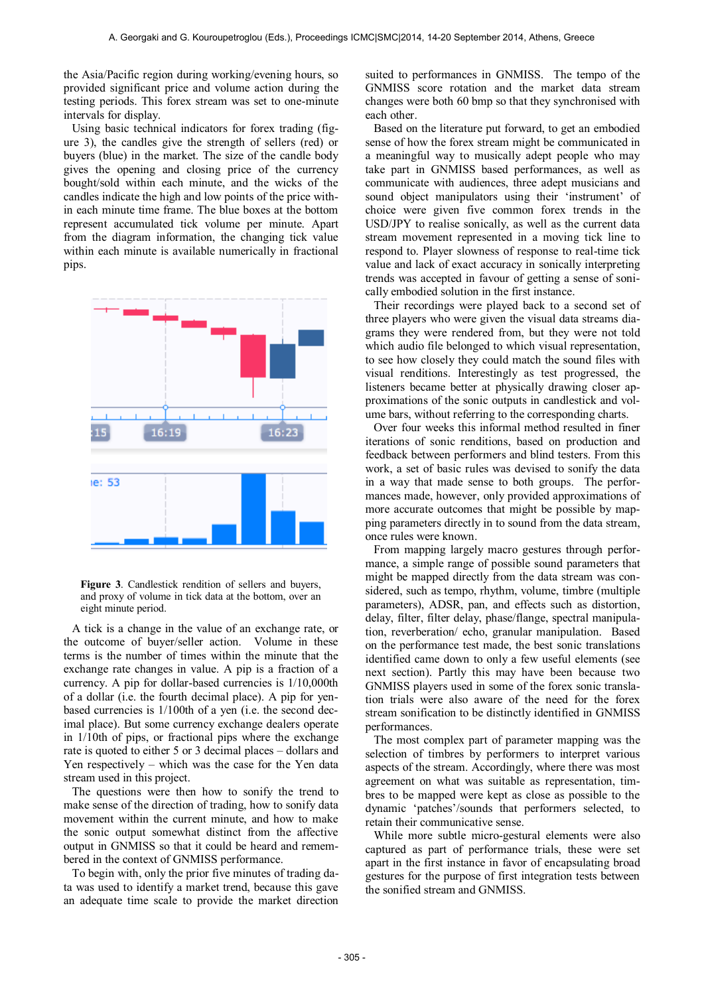the Asia/Pacific region during working/evening hours, so provided significant price and volume action during the testing periods. This forex stream was set to one-minute intervals for display.

Using basic technical indicators for forex trading (figure 3), the candles give the strength of sellers (red) or buyers (blue) in the market. The size of the candle body gives the opening and closing price of the currency bought/sold within each minute, and the wicks of the candles indicate the high and low points of the price within each minute time frame. The blue boxes at the bottom represent accumulated tick volume per minute. Apart from the diagram information, the changing tick value within each minute is available numerically in fractional pips.



**Figure 3**. Candlestick rendition of sellers and buyers, and proxy of volume in tick data at the bottom, over an eight minute period.

A tick is a change in the value of an exchange rate, or the outcome of buyer/seller action. Volume in these terms is the number of times within the minute that the exchange rate changes in value. A pip is a fraction of a currency. A pip for dollar-based currencies is 1/10,000th of a dollar (i.e. the fourth decimal place). A pip for yenbased currencies is 1/100th of a yen (i.e. the second decimal place). But some currency exchange dealers operate in 1/10th of pips, or fractional pips where the exchange rate is quoted to either 5 or 3 decimal places – dollars and Yen respectively – which was the case for the Yen data stream used in this project.

The questions were then how to sonify the trend to make sense of the direction of trading, how to sonify data movement within the current minute, and how to make the sonic output somewhat distinct from the affective output in GNMISS so that it could be heard and remembered in the context of GNMISS performance.

To begin with, only the prior five minutes of trading data was used to identify a market trend, because this gave an adequate time scale to provide the market direction

suited to performances in GNMISS. The tempo of the GNMISS score rotation and the market data stream changes were both 60 bmp so that they synchronised with each other.

Based on the literature put forward, to get an embodied sense of how the forex stream might be communicated in a meaningful way to musically adept people who may take part in GNMISS based performances, as well as communicate with audiences, three adept musicians and sound object manipulators using their 'instrument' of choice were given five common forex trends in the USD/JPY to realise sonically, as well as the current data stream movement represented in a moving tick line to respond to. Player slowness of response to real-time tick value and lack of exact accuracy in sonically interpreting trends was accepted in favour of getting a sense of sonically embodied solution in the first instance.

Their recordings were played back to a second set of three players who were given the visual data streams diagrams they were rendered from, but they were not told which audio file belonged to which visual representation, to see how closely they could match the sound files with visual renditions. Interestingly as test progressed, the listeners became better at physically drawing closer approximations of the sonic outputs in candlestick and volume bars, without referring to the corresponding charts.

Over four weeks this informal method resulted in finer iterations of sonic renditions, based on production and feedback between performers and blind testers. From this work, a set of basic rules was devised to sonify the data in a way that made sense to both groups. The performances made, however, only provided approximations of more accurate outcomes that might be possible by mapping parameters directly in to sound from the data stream, once rules were known.

From mapping largely macro gestures through performance, a simple range of possible sound parameters that might be mapped directly from the data stream was considered, such as tempo, rhythm, volume, timbre (multiple parameters), ADSR, pan, and effects such as distortion, delay, filter, filter delay, phase/flange, spectral manipulation, reverberation/ echo, granular manipulation. Based on the performance test made, the best sonic translations identified came down to only a few useful elements (see next section). Partly this may have been because two GNMISS players used in some of the forex sonic translation trials were also aware of the need for the forex stream sonification to be distinctly identified in GNMISS performances.

The most complex part of parameter mapping was the selection of timbres by performers to interpret various aspects of the stream. Accordingly, where there was most agreement on what was suitable as representation, timbres to be mapped were kept as close as possible to the dynamic 'patches'/sounds that performers selected, to retain their communicative sense.

While more subtle micro-gestural elements were also captured as part of performance trials, these were set apart in the first instance in favor of encapsulating broad gestures for the purpose of first integration tests between the sonified stream and GNMISS.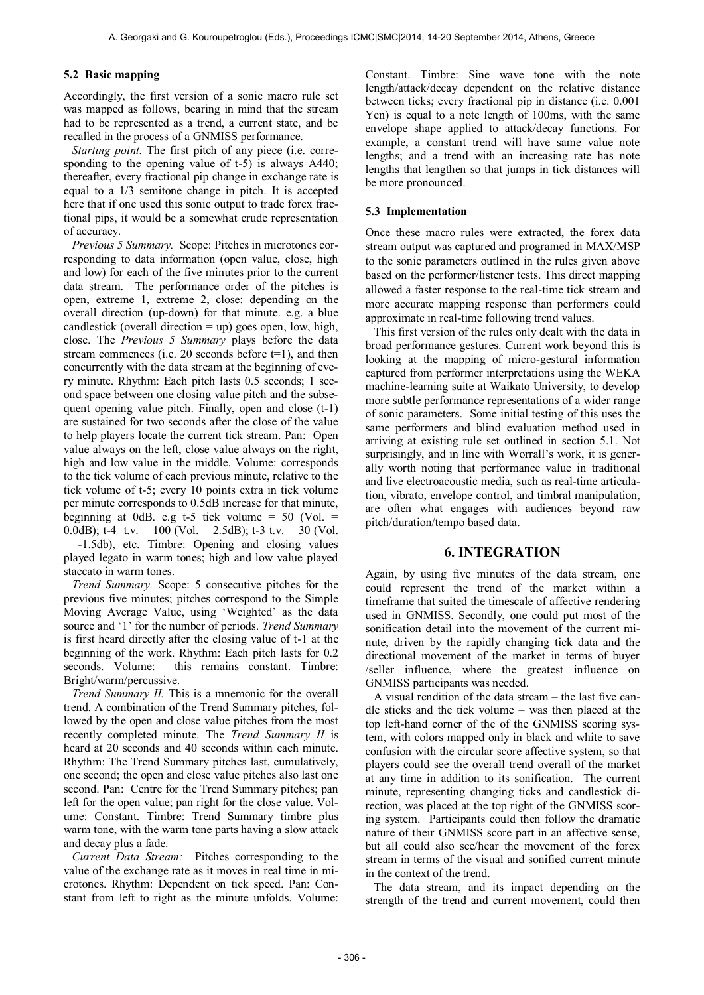#### **5.2 Basic mapping**

Accordingly, the first version of a sonic macro rule set was mapped as follows, bearing in mind that the stream had to be represented as a trend, a current state, and be recalled in the process of a GNMISS performance.

*Starting point.* The first pitch of any piece (i.e. corresponding to the opening value of t-5) is always A440; thereafter, every fractional pip change in exchange rate is equal to a 1/3 semitone change in pitch. It is accepted here that if one used this sonic output to trade forex fractional pips, it would be a somewhat crude representation of accuracy.

*Previous 5 Summary.* Scope: Pitches in microtones corresponding to data information (open value, close, high and low) for each of the five minutes prior to the current data stream. The performance order of the pitches is open, extreme 1, extreme 2, close: depending on the overall direction (up-down) for that minute. e.g. a blue candlestick (overall direction  $=$  up) goes open, low, high, close. The *Previous 5 Summary* plays before the data stream commences (i.e. 20 seconds before  $t=1$ ), and then concurrently with the data stream at the beginning of every minute. Rhythm: Each pitch lasts 0.5 seconds; 1 second space between one closing value pitch and the subsequent opening value pitch. Finally, open and close  $(t-1)$ are sustained for two seconds after the close of the value to help players locate the current tick stream. Pan: Open value always on the left, close value always on the right, high and low value in the middle. Volume: corresponds to the tick volume of each previous minute, relative to the tick volume of t-5; every 10 points extra in tick volume per minute corresponds to 0.5dB increase for that minute, beginning at 0dB. e.g t-5 tick volume =  $50$  (Vol. = 0.0dB); t-4 t.v. = 100 (Vol. = 2.5dB); t-3 t.v. = 30 (Vol. = -1.5db), etc. Timbre: Opening and closing values played legato in warm tones; high and low value played staccato in warm tones.

*Trend Summary.* Scope: 5 consecutive pitches for the previous five minutes; pitches correspond to the Simple Moving Average Value, using 'Weighted' as the data source and '1' for the number of periods. *Trend Summary* is first heard directly after the closing value of t-1 at the beginning of the work. Rhythm: Each pitch lasts for 0.2 seconds. Volume: this remains constant. Timbre: Bright/warm/percussive.

*Trend Summary II.* This is a mnemonic for the overall trend. A combination of the Trend Summary pitches, followed by the open and close value pitches from the most recently completed minute. The *Trend Summary II* is heard at 20 seconds and 40 seconds within each minute. Rhythm: The Trend Summary pitches last, cumulatively, one second; the open and close value pitches also last one second. Pan: Centre for the Trend Summary pitches; pan left for the open value; pan right for the close value. Volume: Constant. Timbre: Trend Summary timbre plus warm tone, with the warm tone parts having a slow attack and decay plus a fade.

*Current Data Stream:* Pitches corresponding to the value of the exchange rate as it moves in real time in microtones. Rhythm: Dependent on tick speed. Pan: Constant from left to right as the minute unfolds. Volume: Constant. Timbre: Sine wave tone with the note length/attack/decay dependent on the relative distance between ticks; every fractional pip in distance (i.e. 0.001 Yen) is equal to a note length of 100ms, with the same envelope shape applied to attack/decay functions. For example, a constant trend will have same value note lengths; and a trend with an increasing rate has note lengths that lengthen so that jumps in tick distances will be more pronounced.

## **5.3 Implementation**

Once these macro rules were extracted, the forex data stream output was captured and programed in MAX/MSP to the sonic parameters outlined in the rules given above based on the performer/listener tests. This direct mapping allowed a faster response to the real-time tick stream and more accurate mapping response than performers could approximate in real-time following trend values.

This first version of the rules only dealt with the data in broad performance gestures. Current work beyond this is looking at the mapping of micro-gestural information captured from performer interpretations using the WEKA machine-learning suite at Waikato University, to develop more subtle performance representations of a wider range of sonic parameters. Some initial testing of this uses the same performers and blind evaluation method used in arriving at existing rule set outlined in section 5.1. Not surprisingly, and in line with Worrall's work, it is generally worth noting that performance value in traditional and live electroacoustic media, such as real-time articulation, vibrato, envelope control, and timbral manipulation, are often what engages with audiences beyond raw pitch/duration/tempo based data.

# **6. INTEGRATION**

Again, by using five minutes of the data stream, one could represent the trend of the market within a timeframe that suited the timescale of affective rendering used in GNMISS. Secondly, one could put most of the sonification detail into the movement of the current minute, driven by the rapidly changing tick data and the directional movement of the market in terms of buyer /seller influence, where the greatest influence on GNMISS participants was needed.

A visual rendition of the data stream – the last five candle sticks and the tick volume – was then placed at the top left-hand corner of the of the GNMISS scoring system, with colors mapped only in black and white to save confusion with the circular score affective system, so that players could see the overall trend overall of the market at any time in addition to its sonification. The current minute, representing changing ticks and candlestick direction, was placed at the top right of the GNMISS scoring system. Participants could then follow the dramatic nature of their GNMISS score part in an affective sense, but all could also see/hear the movement of the forex stream in terms of the visual and sonified current minute in the context of the trend.

The data stream, and its impact depending on the strength of the trend and current movement, could then